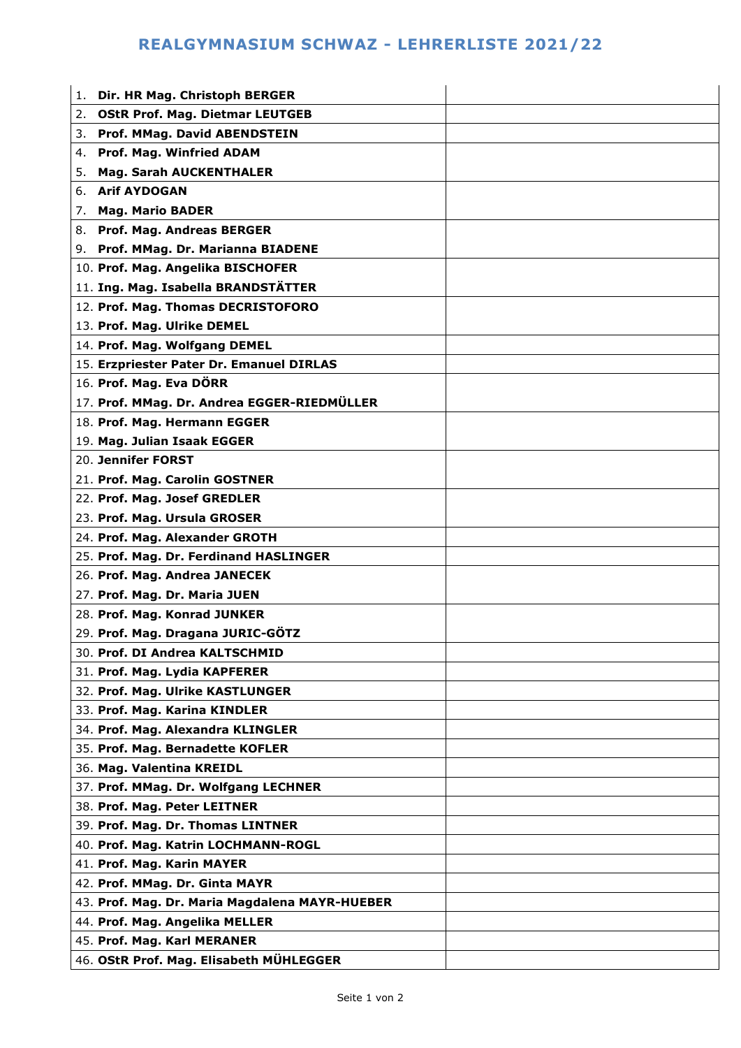## **REALGYMNASIUM SCHWAZ - LEHRERLISTE 2021/22**

| 1. | Dir. HR Mag. Christoph BERGER                  |  |
|----|------------------------------------------------|--|
| 2. | <b>OStR Prof. Mag. Dietmar LEUTGEB</b>         |  |
| 3. | Prof. MMag. David ABENDSTEIN                   |  |
| 4. | <b>Prof. Mag. Winfried ADAM</b>                |  |
| 5. | <b>Mag. Sarah AUCKENTHALER</b>                 |  |
| 6. | <b>Arif AYDOGAN</b>                            |  |
| 7. | <b>Mag. Mario BADER</b>                        |  |
| 8. | Prof. Mag. Andreas BERGER                      |  |
|    | 9. Prof. MMag. Dr. Marianna BIADENE            |  |
|    | 10. Prof. Mag. Angelika BISCHOFER              |  |
|    | 11. Ing. Mag. Isabella BRANDSTÄTTER            |  |
|    | 12. Prof. Mag. Thomas DECRISTOFORO             |  |
|    | 13. Prof. Mag. Ulrike DEMEL                    |  |
|    | 14. Prof. Mag. Wolfgang DEMEL                  |  |
|    | 15. Erzpriester Pater Dr. Emanuel DIRLAS       |  |
|    | 16. Prof. Mag. Eva DÖRR                        |  |
|    | 17. Prof. MMag. Dr. Andrea EGGER-RIEDMÜLLER    |  |
|    | 18. Prof. Mag. Hermann EGGER                   |  |
|    | 19. Mag. Julian Isaak EGGER                    |  |
|    | 20. Jennifer FORST                             |  |
|    | 21. Prof. Mag. Carolin GOSTNER                 |  |
|    | 22. Prof. Mag. Josef GREDLER                   |  |
|    | 23. Prof. Mag. Ursula GROSER                   |  |
|    | 24. Prof. Mag. Alexander GROTH                 |  |
|    | 25. Prof. Mag. Dr. Ferdinand HASLINGER         |  |
|    | 26. Prof. Mag. Andrea JANECEK                  |  |
|    | 27. Prof. Mag. Dr. Maria JUEN                  |  |
|    | 28. Prof. Mag. Konrad JUNKER                   |  |
|    | 29. Prof. Mag. Dragana JURIC-GÖTZ              |  |
|    | 30. Prof. DI Andrea KALTSCHMID                 |  |
|    | 31. Prof. Mag. Lydia KAPFERER                  |  |
|    | 32. Prof. Mag. Ulrike KASTLUNGER               |  |
|    | 33. Prof. Mag. Karina KINDLER                  |  |
|    | 34. Prof. Mag. Alexandra KLINGLER              |  |
|    | 35. Prof. Mag. Bernadette KOFLER               |  |
|    | 36. Mag. Valentina KREIDL                      |  |
|    | 37. Prof. MMag. Dr. Wolfgang LECHNER           |  |
|    | 38. Prof. Mag. Peter LEITNER                   |  |
|    | 39. Prof. Mag. Dr. Thomas LINTNER              |  |
|    | 40. Prof. Mag. Katrin LOCHMANN-ROGL            |  |
|    | 41. Prof. Mag. Karin MAYER                     |  |
|    | 42. Prof. MMag. Dr. Ginta MAYR                 |  |
|    | 43. Prof. Mag. Dr. Maria Magdalena MAYR-HUEBER |  |
|    | 44. Prof. Mag. Angelika MELLER                 |  |
|    | 45. Prof. Mag. Karl MERANER                    |  |
|    | 46. OStR Prof. Mag. Elisabeth MÜHLEGGER        |  |